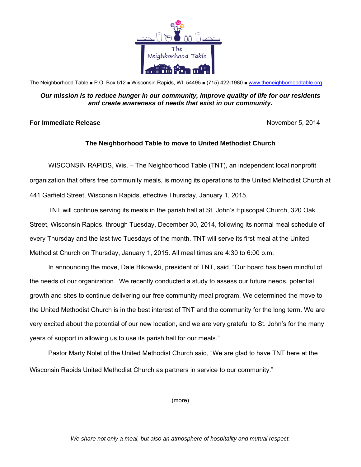

The Neighborhood Table ■ P.O. Box 512 ■ Wisconsin Rapids, WI 54495 ■ (715) 422-1980 ■ www.theneighborhoodtable.org

## *Our mission is to reduce hunger in our community, improve quality of life for our residents and create awareness of needs that exist in our community.*

## **For Immediate Release** November 5, 2014

## **The Neighborhood Table to move to United Methodist Church**

WISCONSIN RAPIDS, Wis. – The Neighborhood Table (TNT), an independent local nonprofit organization that offers free community meals, is moving its operations to the United Methodist Church at 441 Garfield Street, Wisconsin Rapids, effective Thursday, January 1, 2015.

TNT will continue serving its meals in the parish hall at St. John's Episcopal Church, 320 Oak Street, Wisconsin Rapids, through Tuesday, December 30, 2014, following its normal meal schedule of every Thursday and the last two Tuesdays of the month. TNT will serve its first meal at the United Methodist Church on Thursday, January 1, 2015. All meal times are 4:30 to 6:00 p.m.

In announcing the move, Dale Bikowski, president of TNT, said, "Our board has been mindful of the needs of our organization. We recently conducted a study to assess our future needs, potential growth and sites to continue delivering our free community meal program. We determined the move to the United Methodist Church is in the best interest of TNT and the community for the long term. We are very excited about the potential of our new location, and we are very grateful to St. John's for the many years of support in allowing us to use its parish hall for our meals."

Pastor Marty Nolet of the United Methodist Church said, "We are glad to have TNT here at the Wisconsin Rapids United Methodist Church as partners in service to our community."

(more)